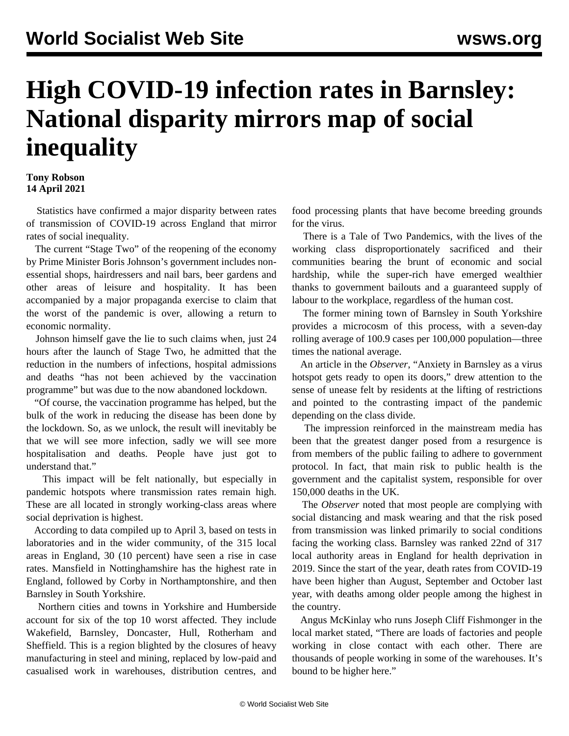## **High COVID-19 infection rates in Barnsley: National disparity mirrors map of social inequality**

## **Tony Robson 14 April 2021**

 Statistics have confirmed a major disparity between rates of transmission of COVID-19 across England that mirror rates of social inequality.

 The current "Stage Two" of the reopening of the economy by Prime Minister Boris Johnson's government includes nonessential shops, hairdressers and nail bars, beer gardens and other areas of leisure and hospitality. It has been accompanied by a major propaganda exercise to claim that the worst of the pandemic is over, allowing a return to economic normality.

 Johnson himself gave the lie to such claims when, just 24 hours after the launch of Stage Two, he admitted that the reduction in the numbers of infections, hospital admissions and deaths "has not been achieved by the vaccination programme" but was due to the now abandoned lockdown.

 "Of course, the vaccination programme has helped, but the bulk of the work in reducing the disease has been done by the lockdown. So, as we unlock, the result will inevitably be that we will see more infection, sadly we will see more hospitalisation and deaths. People have just got to understand that."

 This impact will be felt nationally, but especially in pandemic hotspots where transmission rates remain high. These are all located in strongly working-class areas where social deprivation is highest.

 According to data compiled up to April 3, based on tests in laboratories and in the wider community, of the 315 local areas in England, 30 (10 percent) have seen a rise in case rates. Mansfield in Nottinghamshire has the highest rate in England, followed by Corby in Northamptonshire, and then Barnsley in South Yorkshire.

 Northern cities and towns in Yorkshire and Humberside account for six of the top 10 worst affected. They include Wakefield, Barnsley, Doncaster, Hull, Rotherham and Sheffield. This is a region blighted by the closures of heavy manufacturing in steel and mining, replaced by low-paid and casualised work in warehouses, distribution centres, and food processing plants that have become breeding grounds for the virus.

 There is a Tale of Two Pandemics, with the lives of the working class disproportionately sacrificed and their communities bearing the brunt of economic and social hardship, while the super-rich have emerged wealthier thanks to government bailouts and a guaranteed supply of labour to the workplace, regardless of the human cost.

 The former mining town of Barnsley in South Yorkshire provides a microcosm of this process, with a seven-day rolling average of 100.9 cases per 100,000 population—three times the national average.

 An article in the *Observer*, "Anxiety in Barnsley as a virus hotspot gets ready to open its doors," drew attention to the sense of unease felt by residents at the lifting of restrictions and pointed to the contrasting impact of the pandemic depending on the class divide.

 The impression reinforced in the mainstream media has been that the greatest danger posed from a resurgence is from members of the public failing to adhere to government protocol. In fact, that main risk to public health is the government and the capitalist system, responsible for over 150,000 deaths in the UK.

 The *Observer* noted that most people are complying with social distancing and mask wearing and that the risk posed from transmission was linked primarily to social conditions facing the working class. Barnsley was ranked 22nd of 317 local authority areas in England for health deprivation in 2019. Since the start of the year, death rates from COVID-19 have been higher than August, September and October last year, with deaths among older people among the highest in the country.

 Angus McKinlay who runs Joseph Cliff Fishmonger in the local market stated, "There are loads of factories and people working in close contact with each other. There are thousands of people working in some of the warehouses. It's bound to be higher here."